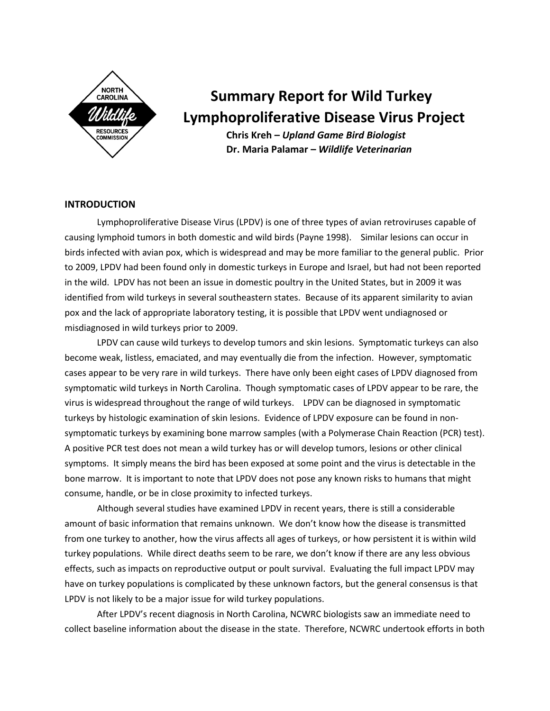

# **Summary Report for Wild Turkey Lymphoproliferative Disease Virus Project**

**Chris Kreh –** *Upland Game Bird Biologist* **Dr. Maria Palamar –** *Wildlife Veterinarian*

## **INTRODUCTION**

Lymphoproliferative Disease Virus (LPDV) is one of three types of avian retroviruses capable of causing lymphoid tumors in both domestic and wild birds (Payne 1998). Similar lesions can occur in birds infected with avian pox, which is widespread and may be more familiar to the general public. Prior to 2009, LPDV had been found only in domestic turkeys in Europe and Israel, but had not been reported in the wild. LPDV has not been an issue in domestic poultry in the United States, but in 2009 it was identified from wild turkeys in several southeastern states. Because of its apparent similarity to avian pox and the lack of appropriate laboratory testing, it is possible that LPDV went undiagnosed or misdiagnosed in wild turkeys prior to 2009.

LPDV can cause wild turkeys to develop tumors and skin lesions. Symptomatic turkeys can also become weak, listless, emaciated, and may eventually die from the infection. However, symptomatic cases appear to be very rare in wild turkeys. There have only been eight cases of LPDV diagnosed from symptomatic wild turkeys in North Carolina. Though symptomatic cases of LPDV appear to be rare, the virus is widespread throughout the range of wild turkeys. LPDV can be diagnosed in symptomatic turkeys by histologic examination of skin lesions. Evidence of LPDV exposure can be found in nonsymptomatic turkeys by examining bone marrow samples (with a Polymerase Chain Reaction (PCR) test). A positive PCR test does not mean a wild turkey has or will develop tumors, lesions or other clinical symptoms. It simply means the bird has been exposed at some point and the virus is detectable in the bone marrow. It is important to note that LPDV does not pose any known risks to humans that might consume, handle, or be in close proximity to infected turkeys.

Although several studies have examined LPDV in recent years, there is still a considerable amount of basic information that remains unknown. We don't know how the disease is transmitted from one turkey to another, how the virus affects all ages of turkeys, or how persistent it is within wild turkey populations. While direct deaths seem to be rare, we don't know if there are any less obvious effects, such as impacts on reproductive output or poult survival. Evaluating the full impact LPDV may have on turkey populations is complicated by these unknown factors, but the general consensus is that LPDV is not likely to be a major issue for wild turkey populations.

After LPDV's recent diagnosis in North Carolina, NCWRC biologists saw an immediate need to collect baseline information about the disease in the state. Therefore, NCWRC undertook efforts in both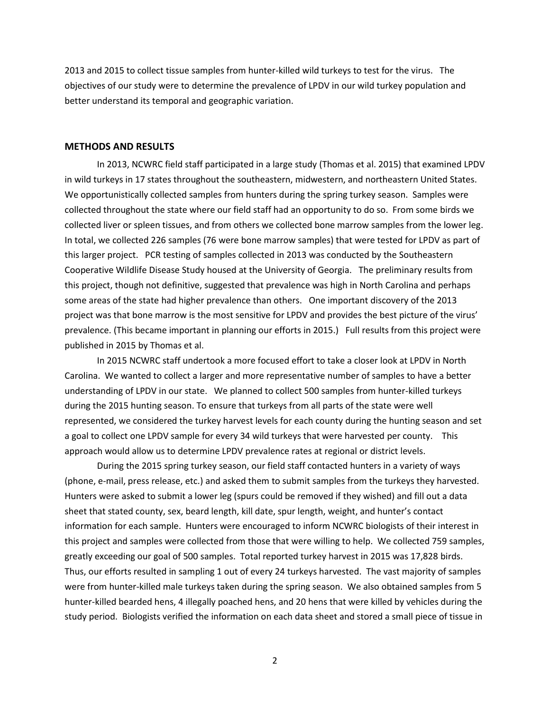2013 and 2015 to collect tissue samples from hunter-killed wild turkeys to test for the virus. The objectives of our study were to determine the prevalence of LPDV in our wild turkey population and better understand its temporal and geographic variation.

#### **METHODS AND RESULTS**

In 2013, NCWRC field staff participated in a large study (Thomas et al. 2015) that examined LPDV in wild turkeys in 17 states throughout the southeastern, midwestern, and northeastern United States. We opportunistically collected samples from hunters during the spring turkey season. Samples were collected throughout the state where our field staff had an opportunity to do so. From some birds we collected liver or spleen tissues, and from others we collected bone marrow samples from the lower leg. In total, we collected 226 samples (76 were bone marrow samples) that were tested for LPDV as part of this larger project. PCR testing of samples collected in 2013 was conducted by the Southeastern Cooperative Wildlife Disease Study housed at the University of Georgia. The preliminary results from this project, though not definitive, suggested that prevalence was high in North Carolina and perhaps some areas of the state had higher prevalence than others. One important discovery of the 2013 project was that bone marrow is the most sensitive for LPDV and provides the best picture of the virus' prevalence. (This became important in planning our efforts in 2015.) Full results from this project were published in 2015 by Thomas et al.

In 2015 NCWRC staff undertook a more focused effort to take a closer look at LPDV in North Carolina. We wanted to collect a larger and more representative number of samples to have a better understanding of LPDV in our state. We planned to collect 500 samples from hunter-killed turkeys during the 2015 hunting season. To ensure that turkeys from all parts of the state were well represented, we considered the turkey harvest levels for each county during the hunting season and set a goal to collect one LPDV sample for every 34 wild turkeys that were harvested per county. This approach would allow us to determine LPDV prevalence rates at regional or district levels.

During the 2015 spring turkey season, our field staff contacted hunters in a variety of ways (phone, e-mail, press release, etc.) and asked them to submit samples from the turkeys they harvested. Hunters were asked to submit a lower leg (spurs could be removed if they wished) and fill out a data sheet that stated county, sex, beard length, kill date, spur length, weight, and hunter's contact information for each sample. Hunters were encouraged to inform NCWRC biologists of their interest in this project and samples were collected from those that were willing to help. We collected 759 samples, greatly exceeding our goal of 500 samples. Total reported turkey harvest in 2015 was 17,828 birds. Thus, our efforts resulted in sampling 1 out of every 24 turkeys harvested. The vast majority of samples were from hunter-killed male turkeys taken during the spring season. We also obtained samples from 5 hunter-killed bearded hens, 4 illegally poached hens, and 20 hens that were killed by vehicles during the study period. Biologists verified the information on each data sheet and stored a small piece of tissue in

2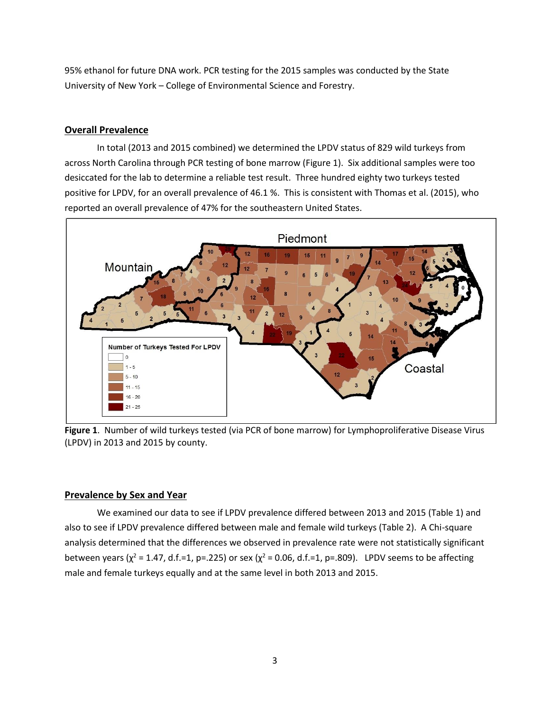95% ethanol for future DNA work. PCR testing for the 2015 samples was conducted by the State University of New York – College of Environmental Science and Forestry.

## **Overall Prevalence**

In total (2013 and 2015 combined) we determined the LPDV status of 829 wild turkeys from across North Carolina through PCR testing of bone marrow (Figure 1). Six additional samples were too desiccated for the lab to determine a reliable test result. Three hundred eighty two turkeys tested positive for LPDV, for an overall prevalence of 46.1 %. This is consistent with Thomas et al. (2015), who reported an overall prevalence of 47% for the southeastern United States.



**Figure 1**. Number of wild turkeys tested (via PCR of bone marrow) for Lymphoproliferative Disease Virus (LPDV) in 2013 and 2015 by county.

## **Prevalence by Sex and Year**

We examined our data to see if LPDV prevalence differed between 2013 and 2015 (Table 1) and also to see if LPDV prevalence differed between male and female wild turkeys (Table 2). A Chi-square analysis determined that the differences we observed in prevalence rate were not statistically significant between years ( $\chi^2$  = 1.47, d.f.=1, p=.225) or sex ( $\chi^2$  = 0.06, d.f.=1, p=.809). LPDV seems to be affecting male and female turkeys equally and at the same level in both 2013 and 2015.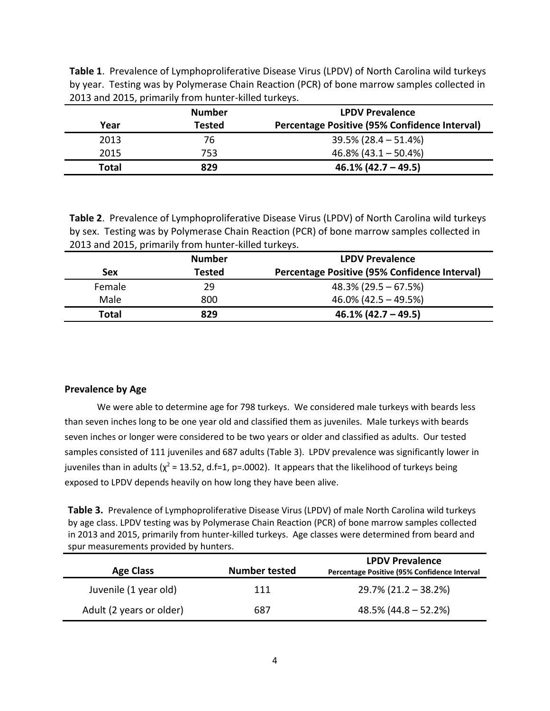| Table 1. Prevalence of Lymphoproliferative Disease Virus (LPDV) of North Carolina wild turkeys |
|------------------------------------------------------------------------------------------------|
| by year. Testing was by Polymerase Chain Reaction (PCR) of bone marrow samples collected in    |
| 2013 and 2015, primarily from hunter-killed turkeys.                                           |

|       | <b>Number</b> | <b>LPDV Prevalence</b>                               |
|-------|---------------|------------------------------------------------------|
| Year  | Tested        | <b>Percentage Positive (95% Confidence Interval)</b> |
| 2013  | 76            | $39.5\%$ (28.4 – 51.4%)                              |
| 2015  | 753           | $46.8\%$ (43.1 – 50.4%)                              |
| Total | 829           | $46.1\%$ (42.7 – 49.5)                               |

**Table 2**. Prevalence of Lymphoproliferative Disease Virus (LPDV) of North Carolina wild turkeys by sex. Testing was by Polymerase Chain Reaction (PCR) of bone marrow samples collected in 2013 and 2015, primarily from hunter-killed turkeys.

| <b>Number</b> |               | <b>LPDV Prevalence</b>                        |  |
|---------------|---------------|-----------------------------------------------|--|
| Sex           | <b>Tested</b> | Percentage Positive (95% Confidence Interval) |  |
| Female        | 29            | $48.3\%$ (29.5 – 67.5%)                       |  |
| Male          | 800           | $46.0\%$ (42.5 – 49.5%)                       |  |
| Total         | 829           | $46.1\%$ (42.7 – 49.5)                        |  |

# **Prevalence by Age**

We were able to determine age for 798 turkeys. We considered male turkeys with beards less than seven inches long to be one year old and classified them as juveniles. Male turkeys with beards seven inches or longer were considered to be two years or older and classified as adults. Our tested samples consisted of 111 juveniles and 687 adults (Table 3). LPDV prevalence was significantly lower in juveniles than in adults ( $\chi^2$  = 13.52, d.f=1, p=.0002). It appears that the likelihood of turkeys being exposed to LPDV depends heavily on how long they have been alive.

**Table 3.** Prevalence of Lymphoproliferative Disease Virus (LPDV) of male North Carolina wild turkeys by age class. LPDV testing was by Polymerase Chain Reaction (PCR) of bone marrow samples collected in 2013 and 2015, primarily from hunter-killed turkeys. Age classes were determined from beard and spur measurements provided by hunters.

| <b>Age Class</b>         | <b>Number tested</b> | <b>LPDV Prevalence</b><br>Percentage Positive (95% Confidence Interval |
|--------------------------|----------------------|------------------------------------------------------------------------|
| Juvenile (1 year old)    | 111                  | $29.7\%$ (21.2 – 38.2%)                                                |
| Adult (2 years or older) | 687                  | $48.5\%$ (44.8 – 52.2%)                                                |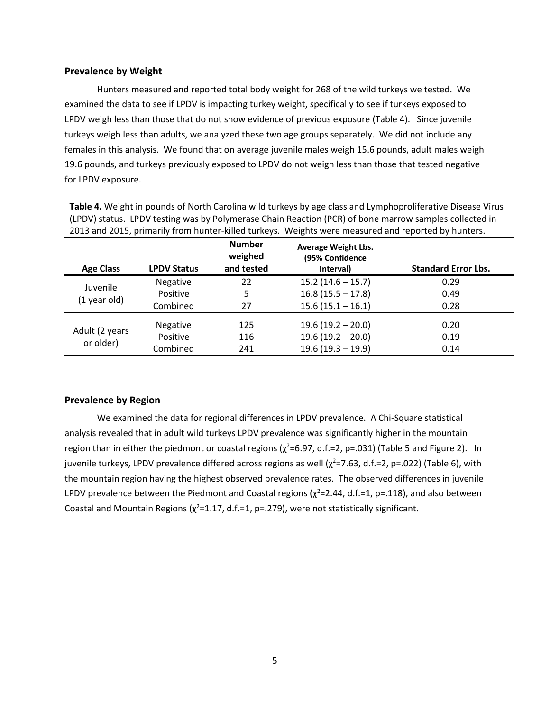## **Prevalence by Weight**

Hunters measured and reported total body weight for 268 of the wild turkeys we tested. We examined the data to see if LPDV is impacting turkey weight, specifically to see if turkeys exposed to LPDV weigh less than those that do not show evidence of previous exposure (Table 4). Since juvenile turkeys weigh less than adults, we analyzed these two age groups separately. We did not include any females in this analysis. We found that on average juvenile males weigh 15.6 pounds, adult males weigh 19.6 pounds, and turkeys previously exposed to LPDV do not weigh less than those that tested negative for LPDV exposure.

**Table 4.** Weight in pounds of North Carolina wild turkeys by age class and Lymphoproliferative Disease Virus (LPDV) status. LPDV testing was by Polymerase Chain Reaction (PCR) of bone marrow samples collected in 2013 and 2015, primarily from hunter-killed turkeys. Weights were measured and reported by hunters.

| <b>Age Class</b> | <b>LPDV Status</b> | <b>Number</b><br>weighed<br>and tested | <b>Average Weight Lbs.</b><br>(95% Confidence<br>Interval) | <b>Standard Error Lbs.</b> |
|------------------|--------------------|----------------------------------------|------------------------------------------------------------|----------------------------|
| Juvenile         | Negative           | 22                                     | $15.2(14.6 - 15.7)$                                        | 0.29                       |
|                  | Positive           | 5                                      | $16.8(15.5 - 17.8)$                                        | 0.49                       |
| $(1$ year old)   | Combined           | 27                                     | $15.6(15.1 - 16.1)$                                        | 0.28                       |
| Adult (2 years   | <b>Negative</b>    | 125                                    | $19.6(19.2 - 20.0)$                                        | 0.20                       |
| or older)        | Positive           | 116                                    | $19.6(19.2 - 20.0)$                                        | 0.19                       |
|                  | Combined           | 241                                    | $19.6(19.3 - 19.9)$                                        | 0.14                       |

## **Prevalence by Region**

We examined the data for regional differences in LPDV prevalence. A Chi-Square statistical analysis revealed that in adult wild turkeys LPDV prevalence was significantly higher in the mountain region than in either the piedmont or coastal regions ( $\chi^2$ =6.97, d.f.=2, p=.031) (Table 5 and Figure 2). In juvenile turkeys, LPDV prevalence differed across regions as well  $(\chi^2=7.63, d.f.=2, p=.022)$  (Table 6), with the mountain region having the highest observed prevalence rates. The observed differences in juvenile LPDV prevalence between the Piedmont and Coastal regions ( $\chi^2$ =2.44, d.f.=1, p=.118), and also between Coastal and Mountain Regions ( $\chi^2$ =1.17, d.f.=1, p=.279), were not statistically significant.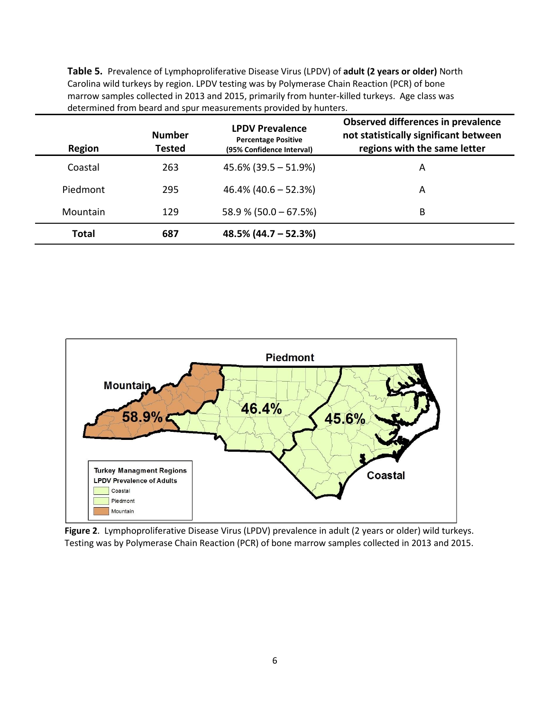**Table 5.** Prevalence of Lymphoproliferative Disease Virus (LPDV) of **adult (2 years or older)** North Carolina wild turkeys by region. LPDV testing was by Polymerase Chain Reaction (PCR) of bone marrow samples collected in 2013 and 2015, primarily from hunter-killed turkeys. Age class was determined from beard and spur measurements provided by hunters.

| Region   | <b>Number</b><br>Tested | <b>LPDV Prevalence</b><br><b>Percentage Positive</b><br>(95% Confidence Interval) | Observed differences in prevalence<br>not statistically significant between<br>regions with the same letter |
|----------|-------------------------|-----------------------------------------------------------------------------------|-------------------------------------------------------------------------------------------------------------|
| Coastal  | 263                     | $45.6\%$ (39.5 – 51.9%)                                                           | A                                                                                                           |
| Piedmont | 295                     | $46.4\%$ (40.6 – 52.3%)                                                           | A                                                                                                           |
| Mountain | 129                     | $58.9\%$ (50.0 – 67.5%)                                                           | B                                                                                                           |
| Total    | 687                     | $48.5\%$ (44.7 – 52.3%)                                                           |                                                                                                             |



**Figure 2**. Lymphoproliferative Disease Virus (LPDV) prevalence in adult (2 years or older) wild turkeys. Testing was by Polymerase Chain Reaction (PCR) of bone marrow samples collected in 2013 and 2015.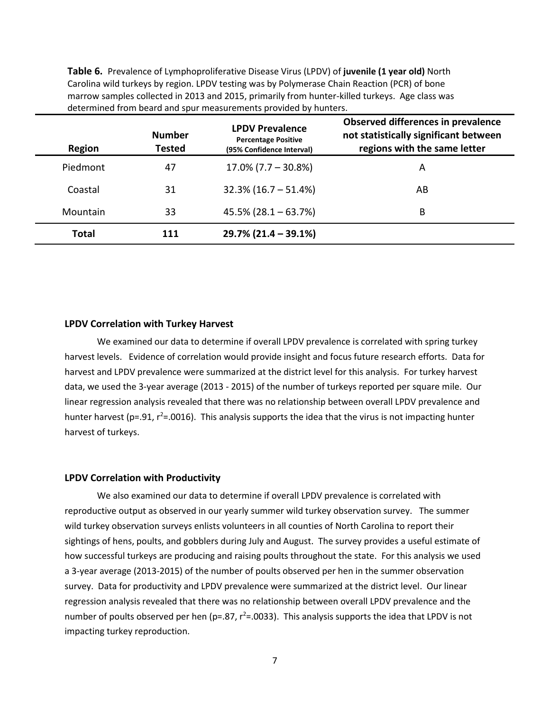**Table 6.** Prevalence of Lymphoproliferative Disease Virus (LPDV) of **juvenile (1 year old)** North Carolina wild turkeys by region. LPDV testing was by Polymerase Chain Reaction (PCR) of bone marrow samples collected in 2013 and 2015, primarily from hunter-killed turkeys. Age class was determined from beard and spur measurements provided by hunters.

| Region   | <b>Number</b><br><b>Tested</b> | <b>LPDV Prevalence</b><br><b>Percentage Positive</b><br>(95% Confidence Interval) | Observed differences in prevalence<br>not statistically significant between<br>regions with the same letter |
|----------|--------------------------------|-----------------------------------------------------------------------------------|-------------------------------------------------------------------------------------------------------------|
| Piedmont | 47                             | $17.0\%$ (7.7 – 30.8%)                                                            | A                                                                                                           |
| Coastal  | 31                             | $32.3\%$ (16.7 – 51.4%)                                                           | AB                                                                                                          |
| Mountain | 33                             | $45.5\%$ (28.1 – 63.7%)                                                           | В                                                                                                           |
| Total    |                                | $29.7\%$ (21.4 – 39.1%)                                                           |                                                                                                             |

#### **LPDV Correlation with Turkey Harvest**

We examined our data to determine if overall LPDV prevalence is correlated with spring turkey harvest levels. Evidence of correlation would provide insight and focus future research efforts. Data for harvest and LPDV prevalence were summarized at the district level for this analysis. For turkey harvest data, we used the 3-year average (2013 - 2015) of the number of turkeys reported per square mile. Our linear regression analysis revealed that there was no relationship between overall LPDV prevalence and hunter harvest (p=.91,  $r^2$ =.0016). This analysis supports the idea that the virus is not impacting hunter harvest of turkeys.

## **LPDV Correlation with Productivity**

We also examined our data to determine if overall LPDV prevalence is correlated with reproductive output as observed in our yearly summer wild turkey observation survey. The summer wild turkey observation surveys enlists volunteers in all counties of North Carolina to report their sightings of hens, poults, and gobblers during July and August. The survey provides a useful estimate of how successful turkeys are producing and raising poults throughout the state. For this analysis we used a 3-year average (2013-2015) of the number of poults observed per hen in the summer observation survey. Data for productivity and LPDV prevalence were summarized at the district level. Our linear regression analysis revealed that there was no relationship between overall LPDV prevalence and the number of poults observed per hen ( $p=.87$ ,  $r^2=.0033$ ). This analysis supports the idea that LPDV is not impacting turkey reproduction.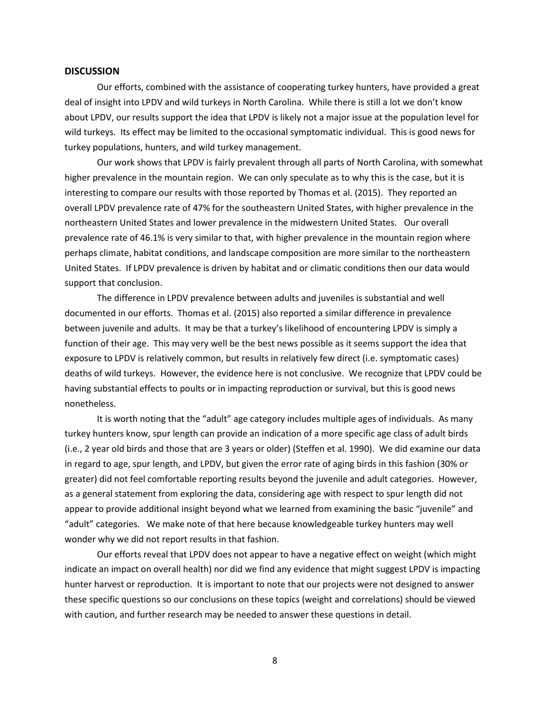#### **DISCUSSION**

Our efforts, combined with the assistance of cooperating turkey hunters, have provided a great deal of insight into LPDV and wild turkeys in North Carolina. While there is still a lot we don't know about LPDV, our results support the idea that LPDV is likely not a major issue at the population level for wild turkeys. Its effect may be limited to the occasional symptomatic individual. This is good news for turkey populations, hunters, and wild turkey management.

Our work shows that LPDV is fairly prevalent through all parts of North Carolina, with somewhat higher prevalence in the mountain region. We can only speculate as to why this is the case, but it is interesting to compare our results with those reported by Thomas et al. (2015). They reported an overall LPDV prevalence rate of 47% for the southeastern United States, with higher prevalence in the northeastern United States and lower prevalence in the midwestern United States. Our overall prevalence rate of 46.1% is very similar to that, with higher prevalence in the mountain region where perhaps climate, habitat conditions, and landscape composition are more similar to the northeastern United States. If LPDV prevalence is driven by habitat and or climatic conditions then our data would support that conclusion.

The difference in LPDV prevalence between adults and juveniles is substantial and well documented in our efforts. Thomas et al. (2015) also reported a similar difference in prevalence between juvenile and adults. It may be that a turkey's likelihood of encountering LPDV is simply a function of their age. This may very well be the best news possible as it seems support the idea that exposure to LPDV is relatively common, but results in relatively few direct (i.e. symptomatic cases) deaths of wild turkeys. However, the evidence here is not conclusive. We recognize that LPDV could be having substantial effects to poults or in impacting reproduction or survival, but this is good news nonetheless.

It is worth noting that the "adult" age category includes multiple ages of individuals. As many turkey hunters know, spur length can provide an indication of a more specific age class of adult birds (i.e., 2 year old birds and those that are 3 years or older) (Steffen et al. 1990). We did examine our data in regard to age, spur length, and LPDV, but given the error rate of aging birds in this fashion (30% or greater) did not feel comfortable reporting results beyond the juvenile and adult categories. However, as a general statement from exploring the data, considering age with respect to spur length did not appear to provide additional insight beyond what we learned from examining the basic "juvenile" and "adult" categories. We make note of that here because knowledgeable turkey hunters may well wonder why we did not report results in that fashion.

Our efforts reveal that LPDV does not appear to have a negative effect on weight (which might indicate an impact on overall health) nor did we find any evidence that might suggest LPDV is impacting hunter harvest or reproduction. It is important to note that our projects were not designed to answer these specific questions so our conclusions on these topics (weight and correlations) should be viewed with caution, and further research may be needed to answer these questions in detail.

8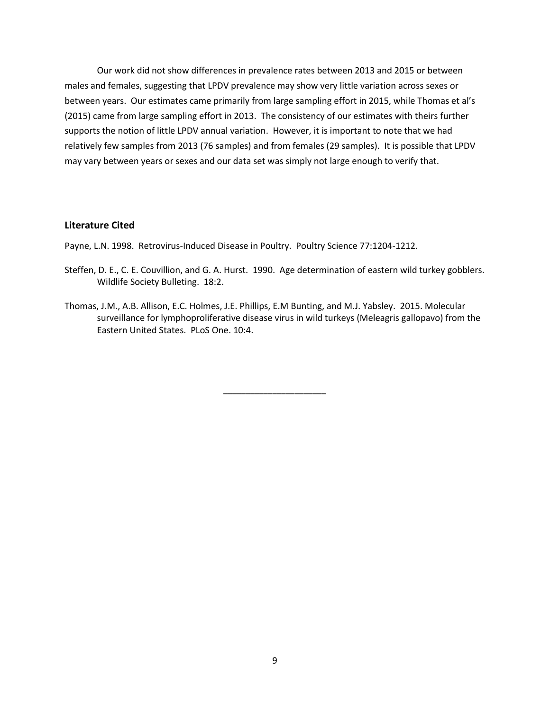Our work did not show differences in prevalence rates between 2013 and 2015 or between males and females, suggesting that LPDV prevalence may show very little variation across sexes or between years. Our estimates came primarily from large sampling effort in 2015, while Thomas et al's (2015) came from large sampling effort in 2013. The consistency of our estimates with theirs further supports the notion of little LPDV annual variation. However, it is important to note that we had relatively few samples from 2013 (76 samples) and from females (29 samples). It is possible that LPDV may vary between years or sexes and our data set was simply not large enough to verify that.

#### **Literature Cited**

Payne, L.N. 1998. Retrovirus-Induced Disease in Poultry. Poultry Science 77:1204-1212.

- Steffen, D. E., C. E. Couvillion, and G. A. Hurst. 1990. Age determination of eastern wild turkey gobblers. Wildlife Society Bulleting. 18:2.
- Thomas, J.M., A.B. Allison, E.C. Holmes, J.E. Phillips, E.M Bunting, and M.J. Yabsley. 2015. Molecular surveillance for lymphoproliferative disease virus in wild turkeys (Meleagris gallopavo) from the Eastern United States. PLoS One. 10:4.

\_\_\_\_\_\_\_\_\_\_\_\_\_\_\_\_\_\_\_\_\_\_\_